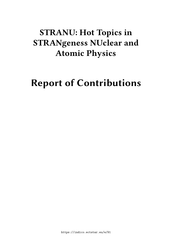# **STRANU: Hot Topics in STRANgeness NUclear and Atomic Physics**

# **Report of Contributions**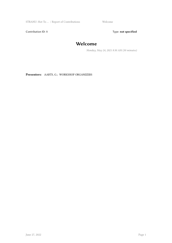STRANU: Hot To ... / Report of Contributions Welcome

Contribution ID: 1 Type: **not specified** 

## **Welcome**

*Monday, May 24, 2021 8:30 AM (30 minutes)*

**Presenters:** AARTS, G.; WORKSHOP ORGANIZERS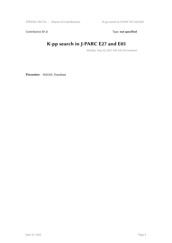Contribution ID: 2 Type: **not specified** 

# **K-pp search in J-PARC E27 and E05**

*Monday, May 24, 2021 9:00 AM (30 minutes)*

**Presenter:** NAGAE, Tomofumi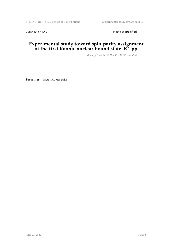Contribution ID: 3 Type: **not specified** 

#### **Experimental study toward spin-parity assignment of the first Kaonic nuclear bound state, K^-pp**

*Monday, May 24, 2021 9:30 AM (30 minutes)*

**Presenter:** IWASAKI, Masahiko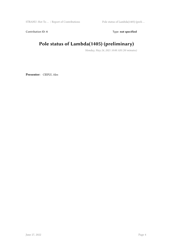Contribution ID: 4 Type: **not specified** 

## **Pole status of Lambda(1405) (preliminary)**

*Monday, May 24, 2021 10:00 AM (30 minutes)*

**Presenter:** CIEPLY, Ales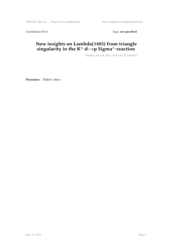Contribution ID: 5 Type: **not specified** 

### **New insights on Lambda(1405) from triangle singularity in the K^-d—>p Sigma^-reaction**

*Monday, May 24, 2021 11:00 AM (25 minutes)*

**Presenter:** FEIJOO, Albert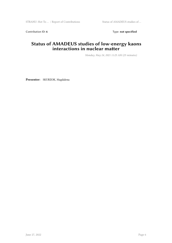Contribution ID: 6 Type: not specified

#### **Status of AMADEUS studies of low-energy kaons interactions in nuclear matter**

*Monday, May 24, 2021 11:25 AM (25 minutes)*

**Presenter:** SKURZOK, Magdalena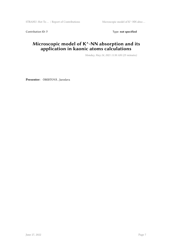Contribution ID: 7 Type: **not specified** 

#### **Microscopic model of K^-NN absorption and its application in kaonic atoms calculations**

*Monday, May 24, 2021 11:50 AM (25 minutes)*

**Presenter:** ÓBERTOVÁ , Jaroslava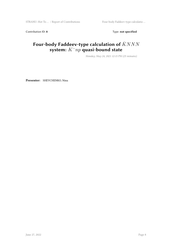Contribution ID: 8 Type: **not specified** 

## Four-body Faddeev-type calculation of  $\bar{K}NNN$ **system:** *K−np* **quasi-bound state**

*Monday, May 24, 2021 12:15 PM (25 minutes)*

**Presenter:** SHEVCHENKO, Nina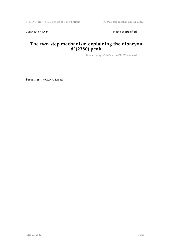Contribution ID: 9 Type: **not specified** 

### **The two-step mechanism explaining the dibaryon d\*(2380) peak**

*Monday, May 24, 2021 12:40 PM (25 minutes)*

**Presenter:** MOLINA, Raquel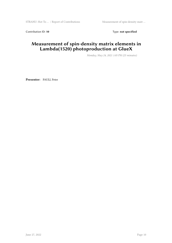Contribution ID: 10 Type: not specified

#### **Measurement of spin-density matrix elements in Lambda(1520) photoproduction at GlueX**

*Monday, May 24, 2021 1:05 PM (25 minutes)*

**Presenter:** PAULI, Peter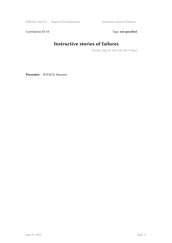STRANU: Hot To  $\ldots$  / Report of Contributions Instructive stories of failures

Contribution ID: 11 Type: **not specified** 

# **Instructive stories of failures**

*Tuesday, May 25, 2021 9:00 AM (1 hour)*

**Presenter:** WYCECH, Slawomir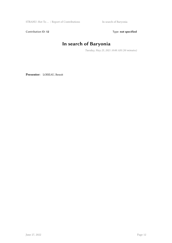Contribution ID: 12 Type: **not specified** 

## **In search of Baryonia**

*Tuesday, May 25, 2021 10:00 AM (30 minutes)*

**Presenter:** LOISEAU, Benoit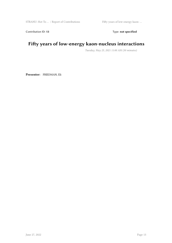Contribution ID: 13 Type: **not specified** 

## **Fifty years of low-energy kaon-nucleus interactions**

*Tuesday, May 25, 2021 11:00 AM (30 minutes)*

**Presenter:** FRIEDMAN, Eli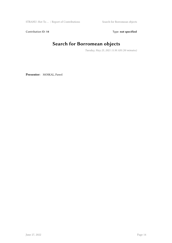Contribution ID: 14 Type: **not specified** 

# **Search for Borromean objects**

*Tuesday, May 25, 2021 11:30 AM (30 minutes)*

**Presenter:** MOSKAL, Pawel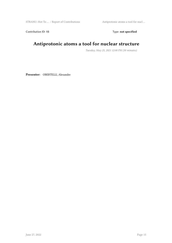Contribution ID: 15 Type: **not specified** 

## **Antiprotonic atoms a tool for nuclear structure**

*Tuesday, May 25, 2021 12:00 PM (30 minutes)*

**Presenter:** OBERTELLI, Alexandre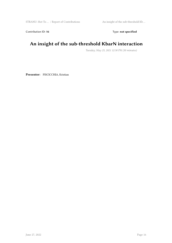Contribution ID: 16 Type: not specified

## **An insight of the sub-threshold KbarN interaction**

*Tuesday, May 25, 2021 12:30 PM (30 minutes)*

**Presenter:** PISCICCHIA, Kristian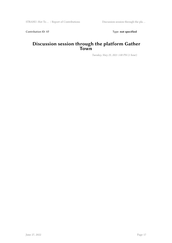Contribution ID: 17 Type: **not specified** 

#### **Discussion session through the platform Gather Town**

*Tuesday, May 25, 2021 1:00 PM (1 hour)*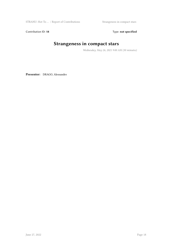STRANU: Hot To  $\dots$  / Report of Contributions Strangeness in compact stars

Contribution ID: 18 Type: not specified

## **Strangeness in compact stars**

*Wednesday, May 26, 2021 9:00 AM (30 minutes)*

**Presenter:** DRAGO, Alessandro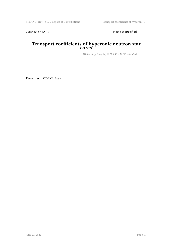Contribution ID: 19 Type: **not specified** 

#### **Transport coefficients of hyperonic neutron star cores**

*Wednesday, May 26, 2021 9:30 AM (30 minutes)*

**Presenter:** VIDAÑA, Isaac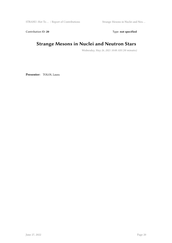Contribution ID: 20 Type: **not specified** 

## **Strange Mesons in Nuclei and Neutron Stars**

*Wednesday, May 26, 2021 10:00 AM (30 minutes)*

**Presenter:** TOLOS, Laura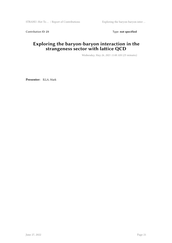Contribution ID: 21 Type: **not specified** 

### **Exploring the baryon-baryon interaction in the strangeness sector with lattice QCD**

*Wednesday, May 26, 2021 11:00 AM (25 minutes)*

**Presenter:** ILLA, Mark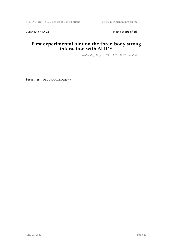Contribution ID: 22 Type: **not specified** 

#### **First experimental hint on the three-body strong interaction with ALICE**

*Wednesday, May 26, 2021 11:25 AM (25 minutes)*

**Presenter:** DEL GRANDE, Raffaele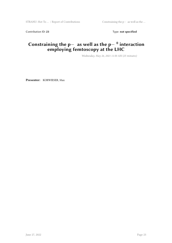Contribution ID: 23 Type: **not specified** 

### **Constraining the p***<sup>−</sup>* **as well as the p***<sup>−</sup>* <sup>0</sup> **interaction employing femtoscopy at the LHC**

*Wednesday, May 26, 2021 11:50 AM (25 minutes)*

**Presenter:** KORWIESER, Max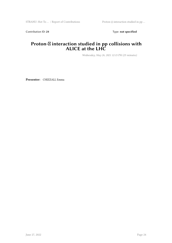Contribution ID: 24 Type: **not specified** 

#### Proton- $\boxtimes$  **interaction studied in pp collisions with ALICE at the LHC**

*Wednesday, May 26, 2021 12:15 PM (25 minutes)*

**Presenter:** CHIZZALI, Emma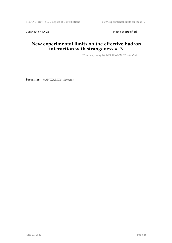Contribution ID: 25 Type: **not specified** 

#### **New experimental limits on the effective hadron interaction with strangeness = -3**

*Wednesday, May 26, 2021 12:40 PM (25 minutes)*

**Presenter:** MANTZARIDIS, Georgios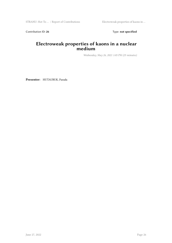Contribution ID: 26 Type: **not specified** 

#### **Electroweak properties of kaons in a nuclear medium**

*Wednesday, May 26, 2021 1:05 PM (25 minutes)*

**Presenter:** HUTAURUK, Parada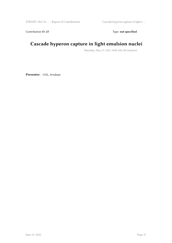Contribution ID: 27 Type: **not specified** 

## **Cascade hyperon capture in light emulsion nuclei**

*Thursday, May 27, 2021 10:00 AM (30 minutes)*

**Presenter:** GAL, Avraham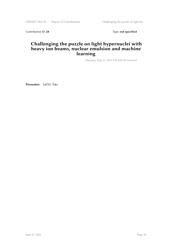STRANU: Hot To … / Report of Contributions Challenging the puzzle on light hy …

Contribution ID: 28 Type: **not specified** 

#### **Challenging the puzzle on light hypernuclei with heavy ion beams, nuclear emulsion and machine learning**

*Thursday, May 27, 2021 9:30 AM (30 minutes)*

**Presenter:** SAITO, Take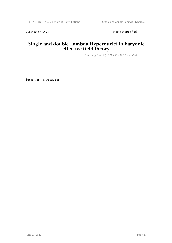Contribution ID: 29 Type: **not specified** 

#### **Single and double Lambda Hypernuclei in baryonic effective field theory**

*Thursday, May 27, 2021 9:00 AM (30 minutes)*

**Presenter:** BARNEA, Nir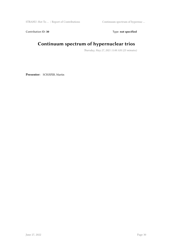Contribution ID: 30 Type: **not specified** 

## **Continuum spectrum of hypernuclear trios**

*Thursday, May 27, 2021 11:00 AM (25 minutes)*

**Presenter:** SCHÄFER, Martin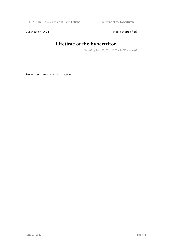Contribution ID: 31 Type: **not specified** 

# **Lifetime of the hypertriton**

*Thursday, May 27, 2021 11:25 AM (25 minutes)*

**Presenter:** HILDENBRAND, Fabian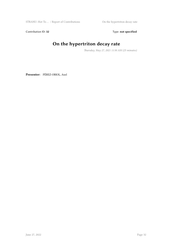Contribution ID: 32 Type: **not specified** 

## **On the hypertriton decay rate**

*Thursday, May 27, 2021 11:50 AM (25 minutes)*

**Presenter:** PÉREZ-OBIOL, Axel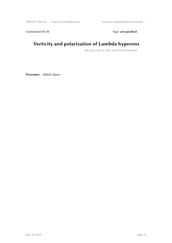Contribution ID: 33 Type: **not specified** 

## **Vorticity and polarization of Lambda hyperons**

*Thursday, May 27, 2021 12:15 PM (25 minutes)*

**Presenter:** SINGH, Rajeev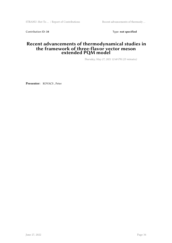Contribution ID: 34 Type: **not specified** 

#### **Recent advancements of thermodynamical studies in the framework of three-flavor vector meson extended PQM model**

*Thursday, May 27, 2021 12:40 PM (25 minutes)*

**Presenter:** KOVACS , Peter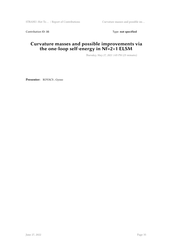Contribution ID: 35 Type: **not specified** 

#### **Curvature masses and possible improvements via the one-loop self-energy in Nf=2+1 ELSM**

*Thursday, May 27, 2021 1:05 PM (25 minutes)*

**Presenter:** KOVACS , Gyozo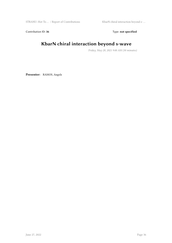STRANU: Hot To … / Report of Contributions KbarN chiral interaction beyond s- …

Contribution ID: 36 Type: **not specified** 

## **KbarN chiral interaction beyond s-wave**

*Friday, May 28, 2021 9:00 AM (30 minutes)*

**Presenter:** RAMOS, Angels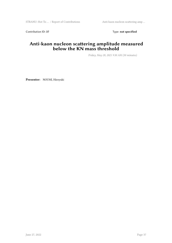Contribution ID: 37 Type: **not specified** 

#### **Anti-kaon nucleon scattering amplitude measured below the KN mass threshold**

*Friday, May 28, 2021 9:30 AM (30 minutes)*

**Presenter:** NOUMI, Hiroyuki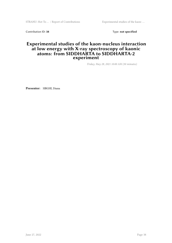STRANU: Hot To ... / Report of Contributions Experimental studies of the kaon-...

Contribution ID: 38 Type: **not specified** 

#### **Experimental studies of the kaon-nucleus interaction at low energy with X-ray spectroscopy of kaonic atoms: from SIDDHARTA to SIDDHARTA-2 experiment**

*Friday, May 28, 2021 10:00 AM (30 minutes)*

**Presenter:** SIRGHI, Diana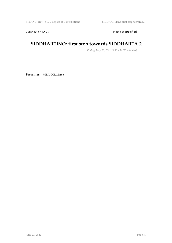Contribution ID: 39 Type: **not specified** 

## **SIDDHARTINO: first step towards SIDDHARTA-2**

*Friday, May 28, 2021 11:00 AM (25 minutes)*

**Presenter:** MILIUCCI, Marco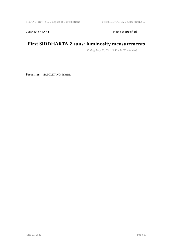Contribution ID: 41 Type: **not specified** 

## **First SIDDHARTA-2 runs: luminosity measurements**

*Friday, May 28, 2021 11:50 AM (25 minutes)*

**Presenter:** NAPOLITANO, Fabrizio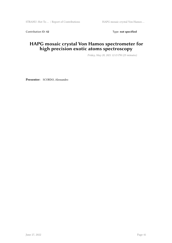Contribution ID: 42 Type: **not specified** 

## **HAPG mosaic crystal Von Hamos spectrometer for high precision exotic atoms spectroscopy**

*Friday, May 28, 2021 12:15 PM (25 minutes)*

**Presenter:** SCORDO, Alessandro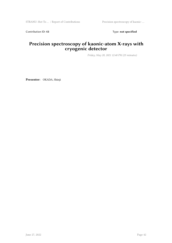Contribution ID: 43 Type: **not specified** 

#### **Precision spectroscopy of kaonic-atom X-rays with cryogenic detector**

*Friday, May 28, 2021 12:40 PM (25 minutes)*

**Presenter:** OKADA, Shinji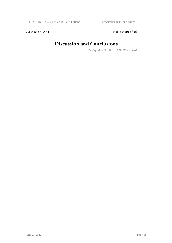Contribution ID: 44 Type: **not specified** 

## **Discussion and Conclusions**

*Friday, May 28, 2021 1:05 PM (25 minutes)*